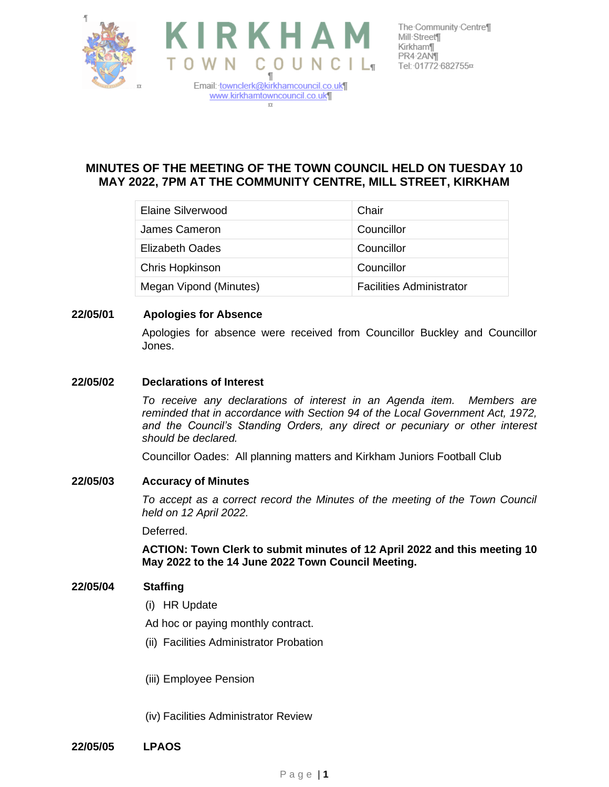



The Community Centre¶

# **MINUTES OF THE MEETING OF THE TOWN COUNCIL HELD ON TUESDAY 10 MAY 2022, 7PM AT THE COMMUNITY CENTRE, MILL STREET, KIRKHAM**

| Elaine Silverwood      | Chair                           |
|------------------------|---------------------------------|
| James Cameron          | Councillor                      |
| Elizabeth Oades        | Councillor                      |
| Chris Hopkinson        | Councillor                      |
| Megan Vipond (Minutes) | <b>Facilities Administrator</b> |

# **22/05/01 Apologies for Absence**

Apologies for absence were received from Councillor Buckley and Councillor Jones.

### **22/05/02 Declarations of Interest**

*To receive any declarations of interest in an Agenda item. Members are reminded that in accordance with Section 94 of the Local Government Act, 1972,*  and the Council's Standing Orders, any direct or pecuniary or other interest *should be declared.*

Councillor Oades: All planning matters and Kirkham Juniors Football Club

#### **22/05/03 Accuracy of Minutes**

*To accept as a correct record the Minutes of the meeting of the Town Council held on 12 April 2022.*

Deferred.

**ACTION: Town Clerk to submit minutes of 12 April 2022 and this meeting 10 May 2022 to the 14 June 2022 Town Council Meeting.**

#### **22/05/04 Staffing**

- (i) HR Update
- Ad hoc or paying monthly contract.
- (ii) Facilities Administrator Probation
- (iii) Employee Pension
- (iv) Facilities Administrator Review
- **22/05/05 LPAOS**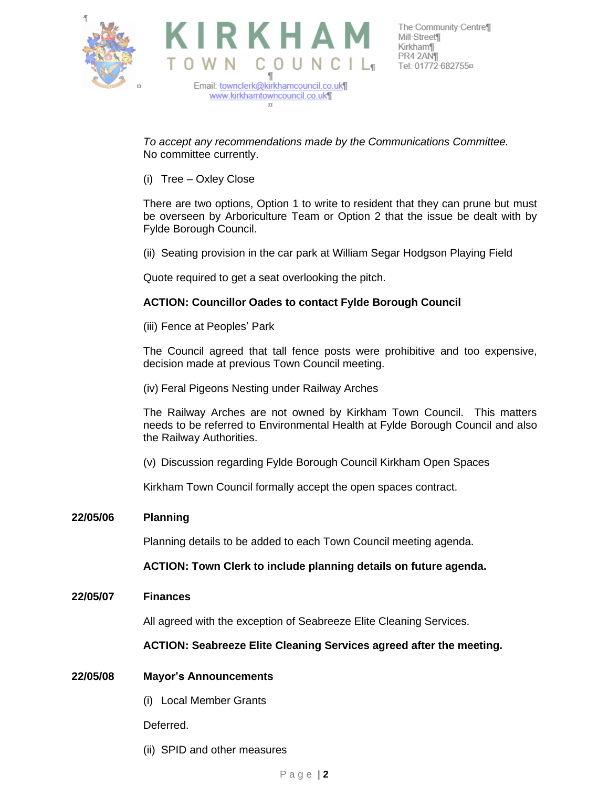



The Community Centre¶

*To accept any recommendations made by the Communications Committee.* No committee currently.

(i) Tree – Oxley Close

There are two options, Option 1 to write to resident that they can prune but must be overseen by Arboriculture Team or Option 2 that the issue be dealt with by Fylde Borough Council.

(ii) Seating provision in the car park at William Segar Hodgson Playing Field

Quote required to get a seat overlooking the pitch.

## **ACTION: Councillor Oades to contact Fylde Borough Council**

(iii) Fence at Peoples' Park

The Council agreed that tall fence posts were prohibitive and too expensive, decision made at previous Town Council meeting.

(iv) Feral Pigeons Nesting under Railway Arches

The Railway Arches are not owned by Kirkham Town Council. This matters needs to be referred to Environmental Health at Fylde Borough Council and also the Railway Authorities.

(v) Discussion regarding Fylde Borough Council Kirkham Open Spaces

Kirkham Town Council formally accept the open spaces contract.

#### **22/05/06 Planning**

Planning details to be added to each Town Council meeting agenda.

**ACTION: Town Clerk to include planning details on future agenda.**

**22/05/07 Finances**

All agreed with the exception of Seabreeze Elite Cleaning Services.

#### **ACTION: Seabreeze Elite Cleaning Services agreed after the meeting.**

#### **22/05/08 Mayor's Announcements**

(i) Local Member Grants

Deferred.

(ii) SPID and other measures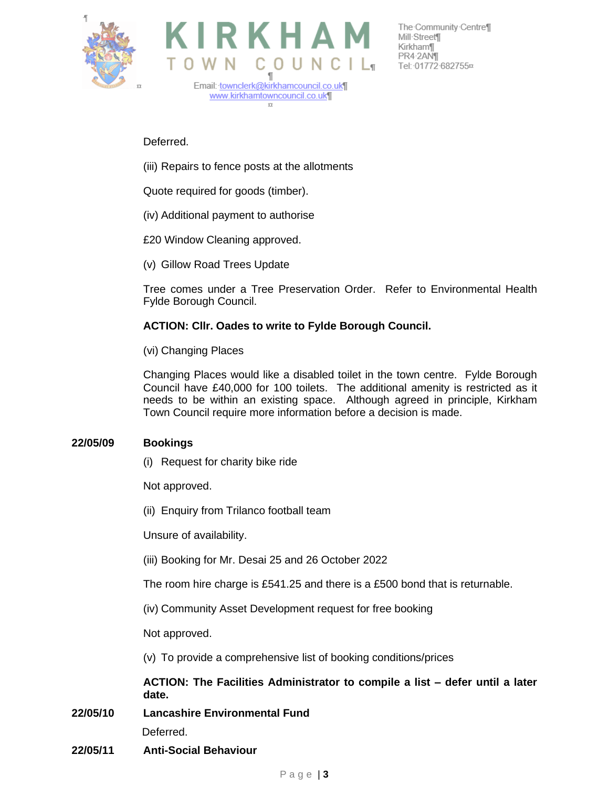



The Community Centre¶ Kirkham¶ PR4-2ANT

Deferred.

(iii) Repairs to fence posts at the allotments

Quote required for goods (timber).

(iv) Additional payment to authorise

£20 Window Cleaning approved.

(v) Gillow Road Trees Update

Tree comes under a Tree Preservation Order. Refer to Environmental Health Fylde Borough Council.

# **ACTION: Cllr. Oades to write to Fylde Borough Council.**

(vi) Changing Places

Changing Places would like a disabled toilet in the town centre. Fylde Borough Council have £40,000 for 100 toilets. The additional amenity is restricted as it needs to be within an existing space. Although agreed in principle, Kirkham Town Council require more information before a decision is made.

# **22/05/09 Bookings**

(i) Request for charity bike ride

Not approved.

(ii) Enquiry from Trilanco football team

Unsure of availability.

(iii) Booking for Mr. Desai 25 and 26 October 2022

The room hire charge is £541.25 and there is a £500 bond that is returnable.

(iv) Community Asset Development request for free booking

Not approved.

(v) To provide a comprehensive list of booking conditions/prices

**ACTION: The Facilities Administrator to compile a list – defer until a later date.**

**22/05/10 Lancashire Environmental Fund**

Deferred.

**22/05/11 Anti-Social Behaviour**